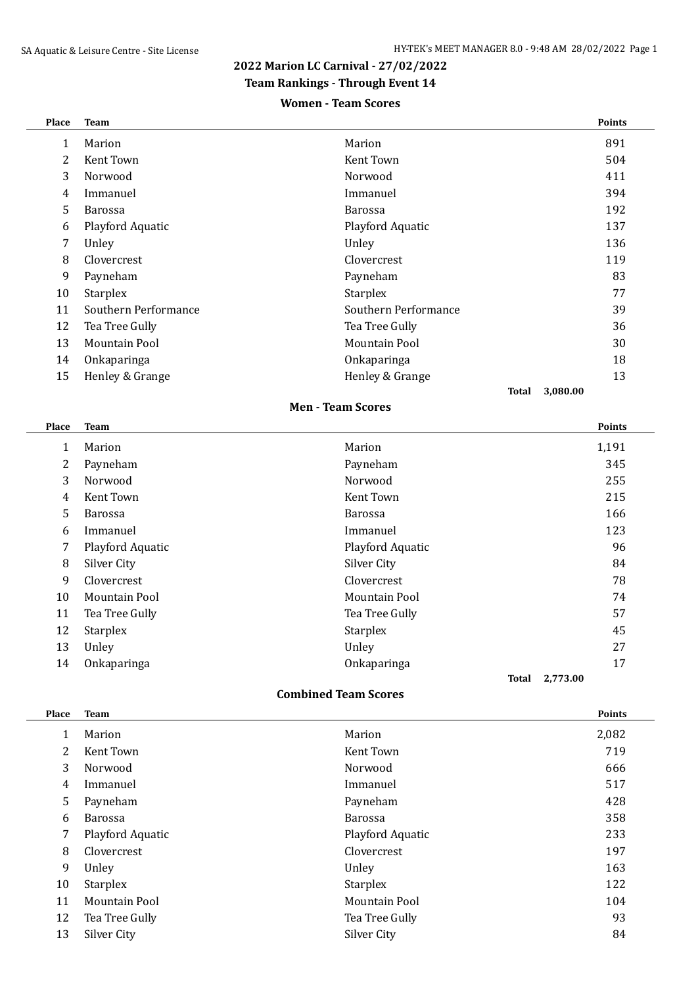#### **2022 Marion LC Carnival - 27/02/2022**

### **Team Rankings - Through Event 14**

#### **Women - Team Scores**

| Place          | <b>Team</b>          |                      | <b>Points</b> |
|----------------|----------------------|----------------------|---------------|
| 1              | Marion               | Marion               | 891           |
| $\overline{2}$ | Kent Town            | Kent Town            | 504           |
| 3              | Norwood              | Norwood              | 411           |
| 4              | Immanuel             | Immanuel             | 394           |
| 5              | <b>Barossa</b>       | <b>Barossa</b>       | 192           |
| 6              | Playford Aquatic     | Playford Aquatic     | 137           |
| 7              | Unley                | Unley                | 136           |
| 8              | <b>Clovercrest</b>   | Clovercrest          | 119           |
| 9              | Payneham             | Payneham             | 83            |
| 10             | <b>Starplex</b>      | Starplex             | 77            |
| 11             | Southern Performance | Southern Performance | 39            |
| 12             | Tea Tree Gully       | Tea Tree Gully       | 36            |
| 13             | Mountain Pool        | Mountain Pool        | 30            |
| 14             | Onkaparinga          | Onkaparinga          | 18            |
| 15             | Henley & Grange      | Henley & Grange      | 13            |
|                |                      | Total                | 3,080.00      |

#### **Men - Team Scores**

| Place | <b>Team</b>      |                  | <b>Points</b> |
|-------|------------------|------------------|---------------|
| 1     | Marion           | Marion           | 1,191         |
| 2     | Payneham         | Payneham         | 345           |
| 3     | Norwood          | Norwood          | 255           |
| 4     | Kent Town        | Kent Town        | 215           |
| 5     | <b>Barossa</b>   | <b>Barossa</b>   | 166           |
| 6     | Immanuel         | Immanuel         | 123           |
| 7     | Playford Aquatic | Playford Aquatic | 96            |
| 8     | Silver City      | Silver City      | 84            |
| 9     | Clovercrest      | Clovercrest      | 78            |
| 10    | Mountain Pool    | Mountain Pool    | 74            |
| 11    | Tea Tree Gully   | Tea Tree Gully   | 57            |
| 12    | Starplex         | <b>Starplex</b>  | 45            |
| 13    | Unley            | Unley            | 27            |
| 14    | Onkaparinga      | Onkaparinga      | 17            |
|       |                  | Total            | 2,773.00      |

#### **Combined Team Scores**

| <b>Place</b> | <b>Team</b>      |                  | <b>Points</b> |
|--------------|------------------|------------------|---------------|
| 1            | Marion           | Marion           | 2,082         |
| 2            | Kent Town        | Kent Town        | 719           |
| 3            | Norwood          | Norwood          | 666           |
| 4            | Immanuel         | Immanuel         | 517           |
| 5            | Payneham         | Payneham         | 428           |
| 6            | <b>Barossa</b>   | Barossa          | 358           |
| 7            | Playford Aquatic | Playford Aquatic | 233           |
| 8            | Clovercrest      | Clovercrest      | 197           |
| 9            | Unley            | Unley            | 163           |
| 10           | <b>Starplex</b>  | <b>Starplex</b>  | 122           |
| 11           | Mountain Pool    | Mountain Pool    | 104           |
| 12           | Tea Tree Gully   | Tea Tree Gully   | 93            |
| 13           | Silver City      | Silver City      | 84            |